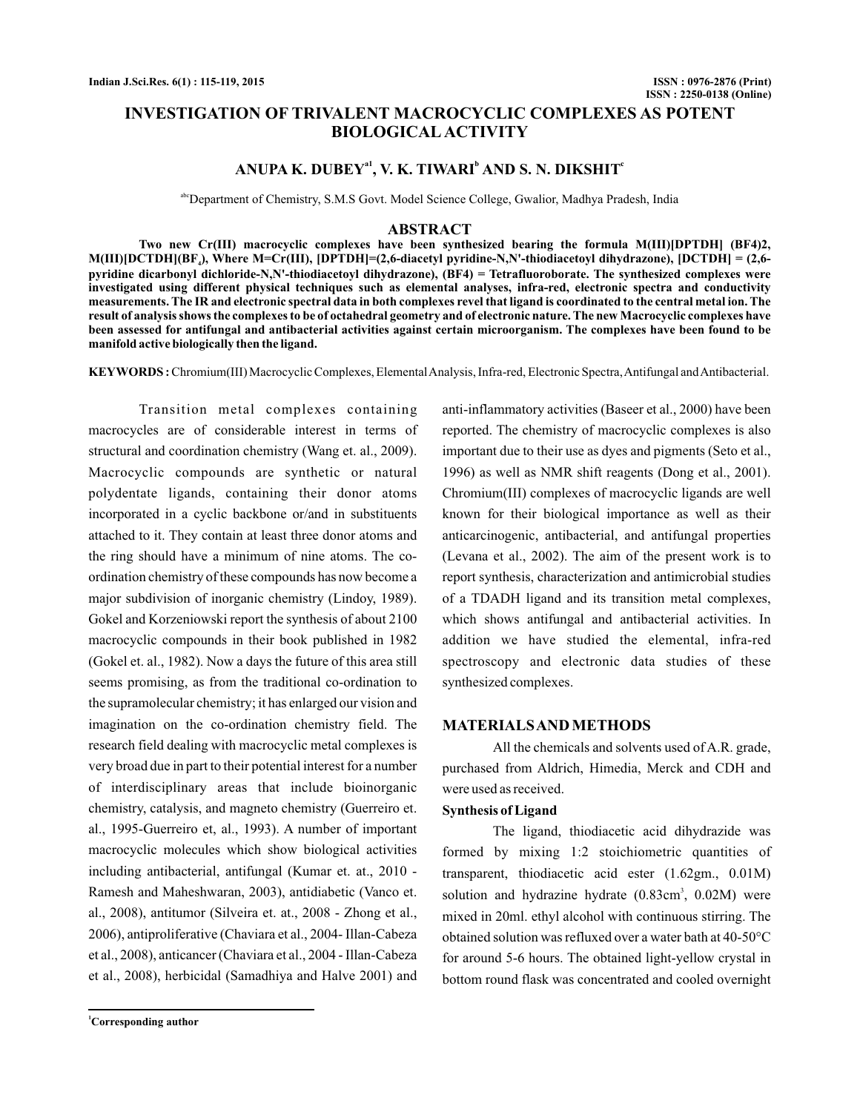# **INVESTIGATION OF TRIVALENT MACROCYCLIC COMPLEXES AS POTENT BIOLOGICAL ACTIVITY**

# ANUPA K. DUBEY<sup>a1</sup>, V. K. TIWARI<sup>b</sup> AND S. N. DIKSHIT<sup>c</sup>

abcDepartment of Chemistry, S.M.S Govt. Model Science College, Gwalior, Madhya Pradesh, India

#### **ABSTRACT**

**Two new Cr(III) macrocyclic complexes have been synthesized bearing the formula M(III)[DPTDH] (BF4)2, M(III)[DCTDH](BF ), Where M=Cr(III), [DPTDH]=(2,6-diacetyl pyridine-N,N'-thiodiacetoyl dihydrazone), [DCTDH] = (2,6- 4 pyridine dicarbonyl dichloride-N,N'-thiodiacetoyl dihydrazone), (BF4) = Tetrafluoroborate. The synthesized complexes were investigated using different physical techniques such as elemental analyses, infra-red, electronic spectra and conductivity measurements. The IR and electronic spectral data in both complexes revel that ligand is coordinated to the central metal ion. The result of analysis shows the complexes to be of octahedral geometry and of electronic nature. The new Macrocyclic complexes have been assessed for antifungal and antibacterial activities against certain microorganism. The complexes have been found to be manifold active biologically then the ligand.**

KEYWORDS: Chromium(III) Macrocyclic Complexes, Elemental Analysis, Infra-red, Electronic Spectra, Antifungal and Antibacterial.

Transition metal complexes containing macrocycles are of considerable interest in terms of structural and coordination chemistry (Wang et. al., 2009). Macrocyclic compounds are synthetic or natural polydentate ligands, containing their donor atoms incorporated in a cyclic backbone or/and in substituents attached to it. They contain at least three donor atoms and the ring should have a minimum of nine atoms. The coordination chemistry of these compounds has now become a major subdivision of inorganic chemistry (Lindoy, 1989). Gokel and Korzeniowski report the synthesis of about 2100 macrocyclic compounds in their book published in 1982 (Gokel et. al., 1982). Now a days the future of this area still seems promising, as from the traditional co-ordination to the supramolecular chemistry; it has enlarged our vision and imagination on the co-ordination chemistry field. The research field dealing with macrocyclic metal complexes is very broad due in part to their potential interest for a number of interdisciplinary areas that include bioinorganic chemistry, catalysis, and magneto chemistry (Guerreiro et. al., 1995-Guerreiro et, al., 1993). A number of important macrocyclic molecules which show biological activities including antibacterial, antifungal (Kumar et. at., 2010 - Ramesh and Maheshwaran, 2003), antidiabetic (Vanco et. al., 2008), antitumor (Silveira et. at., 2008 - Zhong et al., 2006), antiproliferative (Chaviara et al., 2004- Illan-Cabeza et al., 2008), anticancer (Chaviara et al., 2004 - Illan-Cabeza et al., 2008), herbicidal (Samadhiya and Halve 2001) and

anti-inflammatory activities (Baseer et al., 2000) have been reported. The chemistry of macrocyclic complexes is also important due to their use as dyes and pigments (Seto et al., 1996) as well as NMR shift reagents (Dong et al., 2001). Chromium(III) complexes of macrocyclic ligands are well known for their biological importance as well as their anticarcinogenic, antibacterial, and antifungal properties (Levana et al., 2002). The aim of the present work is to report synthesis, characterization and antimicrobial studies of a TDADH ligand and its transition metal complexes, which shows antifungal and antibacterial activities. In addition we have studied the elemental, infra-red spectroscopy and electronic data studies of these synthesized complexes.

#### **MATERIALSAND METHODS**

All the chemicals and solvents used of A.R. grade, purchased from Aldrich, Himedia, Merck and CDH and were used as received.

#### **Synthesis of Ligand**

The ligand, thiodiacetic acid dihydrazide was formed by mixing 1:2 stoichiometric quantities of transparent, thiodiacetic acid ester (1.62gm., 0.01M) solution and hydrazine hydrate (0.83cm<sup>3</sup>, 0.02M) were mixed in 20ml. ethyl alcohol with continuous stirring. The obtained solution was refluxed over a water bath at 40-50°C for around 5-6 hours. The obtained light-yellow crystal in bottom round flask was concentrated and cooled overnight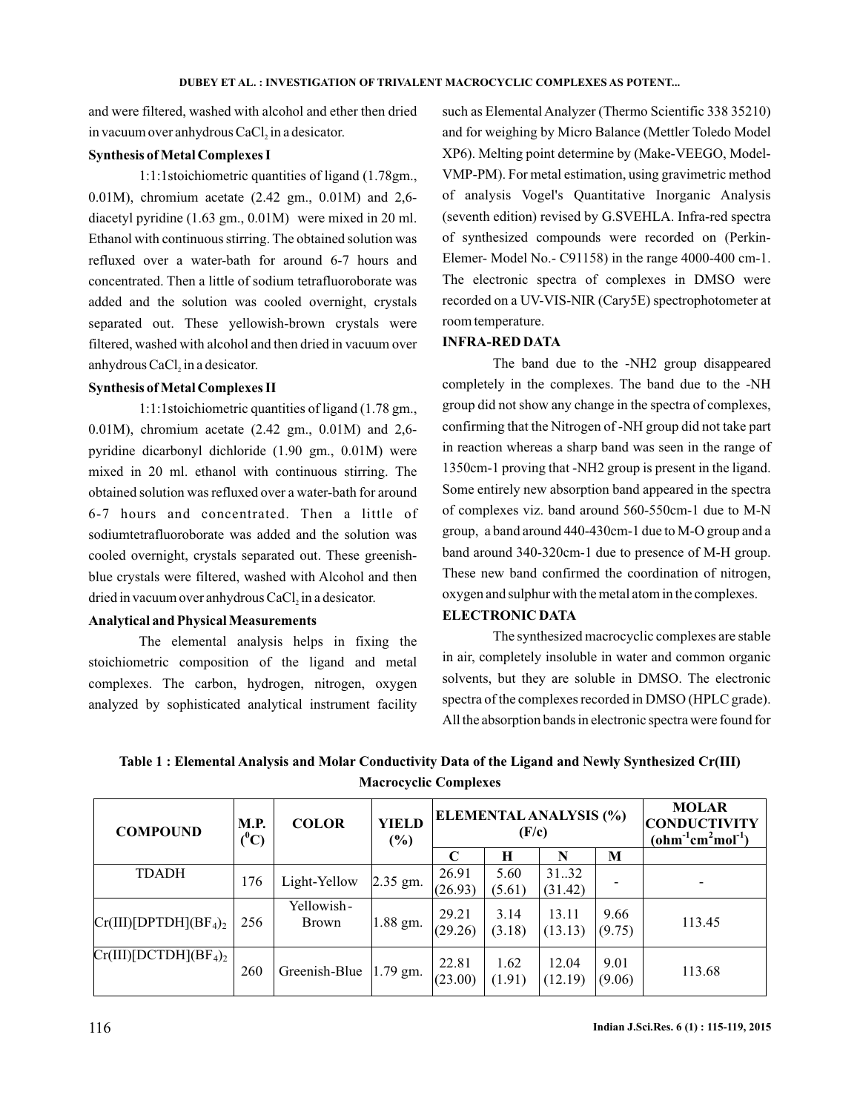and were filtered, washed with alcohol and ether then dried in vacuum over anhydrous  $CaCl<sub>2</sub>$  in a desicator.

#### **Synthesis of Metal Complexes I**

1:1:1stoichiometric quantities of ligand (1.78gm., 0.01M), chromium acetate (2.42 gm., 0.01M) and 2,6 diacetyl pyridine (1.63 gm., 0.01M) were mixed in 20 ml. Ethanol with continuous stirring. The obtained solution was refluxed over a water-bath for around 6-7 hours and concentrated. Then a little of sodium tetrafluoroborate was added and the solution was cooled overnight, crystals separated out. These yellowish-brown crystals were filtered, washed with alcohol and then dried in vacuum over anhydrous  $CaCl<sub>2</sub>$  in a desicator.

#### **Synthesis of Metal Complexes II**

1:1:1stoichiometric quantities of ligand (1.78 gm., 0.01M), chromium acetate (2.42 gm., 0.01M) and 2,6 pyridine dicarbonyl dichloride (1.90 gm., 0.01M) were mixed in 20 ml. ethanol with continuous stirring. The obtained solution was refluxed over a water-bath for around 6-7 hours and concentrated. Then a little of sodiumtetrafluoroborate was added and the solution was cooled overnight, crystals separated out. These greenishblue crystals were filtered, washed with Alcohol and then dried in vacuum over anhydrous  $CaCl<sub>2</sub>$  in a desicator.

### **Analytical and Physical Measurements**

The elemental analysis helps in fixing the stoichiometric composition of the ligand and metal complexes. The carbon, hydrogen, nitrogen, oxygen analyzed by sophisticated analytical instrument facility

such as Elemental Analyzer (Thermo Scientific 338 35210) and for weighing by Micro Balance (Mettler Toledo Model XP6). Melting point determine by (Make-VEEGO, Model-VMP-PM). For metal estimation, using gravimetric method of analysis Vogel's Quantitative Inorganic Analysis (seventh edition) revised by G.SVEHLA. Infra-red spectra of synthesized compounds were recorded on (Perkin-Elemer- Model No.- C91158) in the range 4000-400 cm-1. The electronic spectra of complexes in DMSO were recorded on a UV-VIS-NIR (Cary5E) spectrophotometer at room temperature.

#### **INFRA-RED DATA**

The band due to the -NH2 group disappeared completely in the complexes. The band due to the -NH group did not show any change in the spectra of complexes, confirming that the Nitrogen of -NH group did not take part in reaction whereas a sharp band was seen in the range of 1350cm-1 proving that -NH2 group is present in the ligand. Some entirely new absorption band appeared in the spectra of complexes viz. band around 560-550cm-1 due to M-N group, a band around 440-430cm-1 due to M-O group and a band around 340-320cm-1 due to presence of M-H group. These new band confirmed the coordination of nitrogen, oxygen and sulphur with the metal atom in the complexes.

#### **ELECTRONIC DATA**

The synthesized macrocyclic complexes are stable in air, completely insoluble in water and common organic solvents, but they are soluble in DMSO. The electronic spectra of the complexes recorded in DMSO (HPLC grade). All the absorption bands in electronic spectra were found for

**Table 1 : Elemental Analysis and Molar Conductivity Data of the Ligand and Newly Synthesized Cr(III) Macrocyclic Complexes**

| <b>COMPOUND</b>          | <b>M.P.</b><br>$(^0C)$ | <b>COLOR</b>               | <b>YIELD</b><br>$(\%)$ | <b>ELEMENTAL ANALYSIS (%)</b><br>(F/c) |                |                  |                | <b>MOLAR</b><br><b>CONDUCTIVITY</b><br>$(ohm-1cm2mol-1)$ |
|--------------------------|------------------------|----------------------------|------------------------|----------------------------------------|----------------|------------------|----------------|----------------------------------------------------------|
|                          |                        |                            |                        | C                                      | н              | N                | M              |                                                          |
| <b>TDADH</b>             | 176                    | Light-Yellow               | $2.35$ gm.             | 26.91<br>(26.93)                       | 5.60<br>(5.61) | 31.32<br>(31.42) |                |                                                          |
| $Cr(III)[DPTDH](BF4)2$   | 256                    | Yellowish-<br><b>Brown</b> | 1.88 gm.               | 29.21<br>(29.26)                       | 3.14<br>(3.18) | 13.11<br>(13.13) | 9.66<br>(9.75) | 113.45                                                   |
| $Cr(III)[DCTDH](BF_4)_2$ | 260                    | Greenish-Blue              | 1.79 gm.               | 22.81<br>(23.00)                       | 1.62<br>(1.91) | 12.04<br>(12.19) | 9.01<br>(9.06) | 113.68                                                   |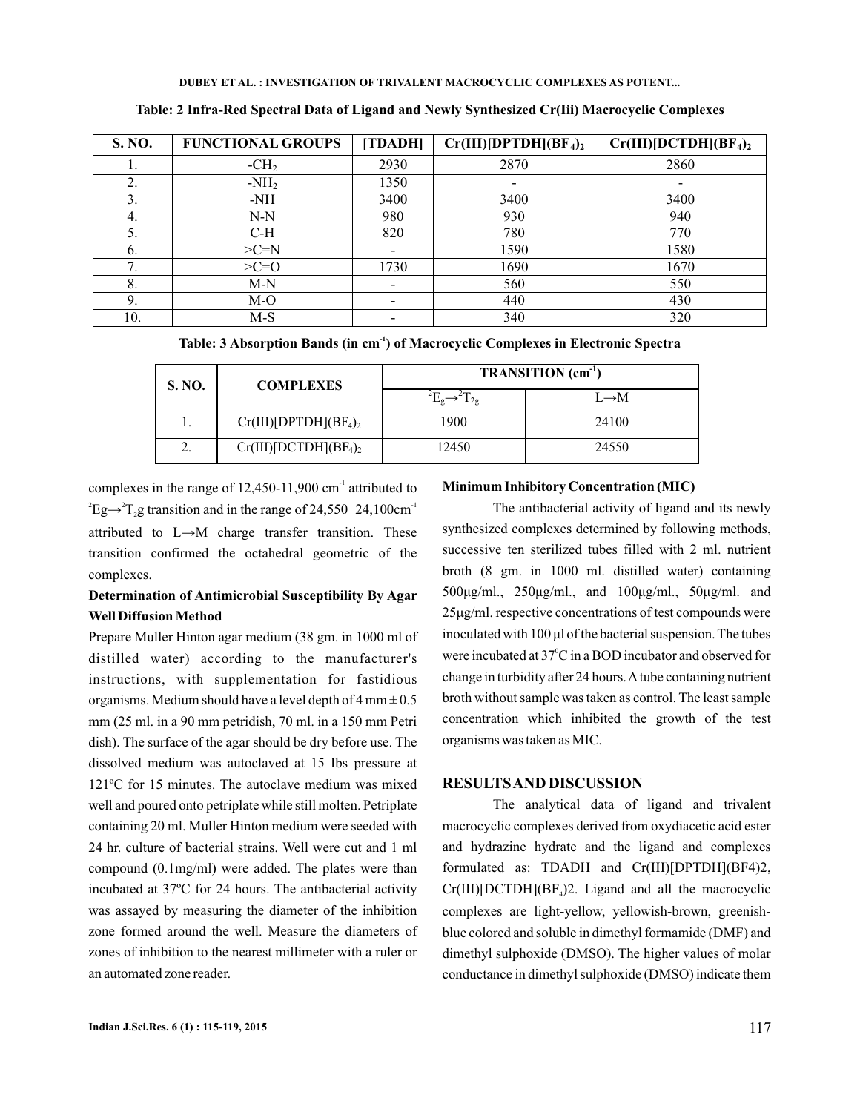| <b>S. NO.</b> | <b>FUNCTIONAL GROUPS</b> | [TDADH]                  | $Cr(III)[DPTDH](BF4)2$ | $Cr(III)[DCTDH](BF4)2$ |
|---------------|--------------------------|--------------------------|------------------------|------------------------|
| ı.            | $-CH2$                   | 2930                     | 2870                   | 2860                   |
| 2.            | $-NH2$                   | 1350                     |                        |                        |
| 3.            | $-NH$                    | 3400                     | 3400                   | 3400                   |
| 4.            | $N-N$                    | 980                      | 930                    | 940                    |
| 5.            | $C-H$                    | 820                      | 780                    | 770                    |
| 6.            | $>C=N$                   |                          | 1590                   | 1580                   |
| 7<br>7.       | $>C=O$                   | 1730                     | 1690                   | 1670                   |
| 8.            | $M-N$                    | $\overline{\phantom{0}}$ | 560                    | 550                    |
| 9.            | $M-O$                    |                          | 440                    | 430                    |
| 10.           | $M-S$                    |                          | 340                    | 320                    |

**Table: 2 Infra-Red Spectral Data of Ligand and Newly Synthesized Cr(Iii) Macrocyclic Complexes**

Table: 3 Absorption Bands (in cm<sup>-1</sup>) of Macrocyclic Complexes in Electronic Spectra

| <b>S. NO.</b> | <b>COMPLEXES</b>       | TRANSITION (cm <sup>-1</sup> ) |                   |  |  |
|---------------|------------------------|--------------------------------|-------------------|--|--|
|               |                        |                                | $L \rightarrow M$ |  |  |
|               | $Cr(III)[DPTDH](BF4)2$ | 1900                           | 24100             |  |  |
| ـ.            | $Cr(III)[DCTDH](BF4)2$ | 12450                          | 24550             |  |  |

complexes in the range of  $12,450-11,900$  cm<sup>-1</sup> attributed to  $E^2$ Eg $\rightarrow$ <sup>2</sup>T<sub>2</sub>g transition and in the range of 24,550 24,100cm<sup>-1</sup> attributed to L→M charge transfer transition. These transition confirmed the octahedral geometric of the complexes.

## **Determination of Antimicrobial Susceptibility By Agar Well Diffusion Method**

Prepare Muller Hinton agar medium (38 gm. in 1000 ml of distilled water) according to the manufacturer's instructions, with supplementation for fastidious organisms. Medium should have a level depth of  $4 \text{ mm} \pm 0.5$ mm (25 ml. in a 90 mm petridish, 70 ml. in a 150 mm Petri dish). The surface of the agar should be dry before use. The dissolved medium was autoclaved at 15 Ibs pressure at 121ºC for 15 minutes. The autoclave medium was mixed well and poured onto petriplate while still molten. Petriplate containing 20 ml. Muller Hinton medium were seeded with 24 hr. culture of bacterial strains. Well were cut and 1 ml compound (0.1mg/ml) were added. The plates were than incubated at 37ºC for 24 hours. The antibacterial activity was assayed by measuring the diameter of the inhibition zone formed around the well. Measure the diameters of zones of inhibition to the nearest millimeter with a ruler or an automated zone reader.

### **Minimum Inhibitory Concentration (MIC)**

were incubated at  $37^{\circ}$ C in a BOD incubator and observed for The antibacterial activity of ligand and its newly synthesized complexes determined by following methods, successive ten sterilized tubes filled with 2 ml. nutrient broth (8 gm. in 1000 ml. distilled water) containing 500μg/ml., 250μg/ml., and 100μg/ml., 50μg/ml. and 25μg/ml. respective concentrations of test compounds were change in turbidity after 24 hours.Atube containing nutrient broth without sample was taken as control. The least sample concentration which inhibited the growth of the test organisms was taken as MIC. inoculated with 100 μl of the bacterial suspension. The tubes

## **RESULTSAND DISCUSSION**

The analytical data of ligand and trivalent macrocyclic complexes derived from oxydiacetic acid ester and hydrazine hydrate and the ligand and complexes formulated as: TDADH and Cr(III)[DPTDH](BF4)2,  $Cr(III)[DCTDH](BF<sub>4</sub>)$ <sup>2</sup>. Ligand and all the macrocyclic complexes are light-yellow, yellowish-brown, greenishblue colored and soluble in dimethyl formamide (DMF) and dimethyl sulphoxide (DMSO). The higher values of molar conductance in dimethyl sulphoxide (DMSO) indicate them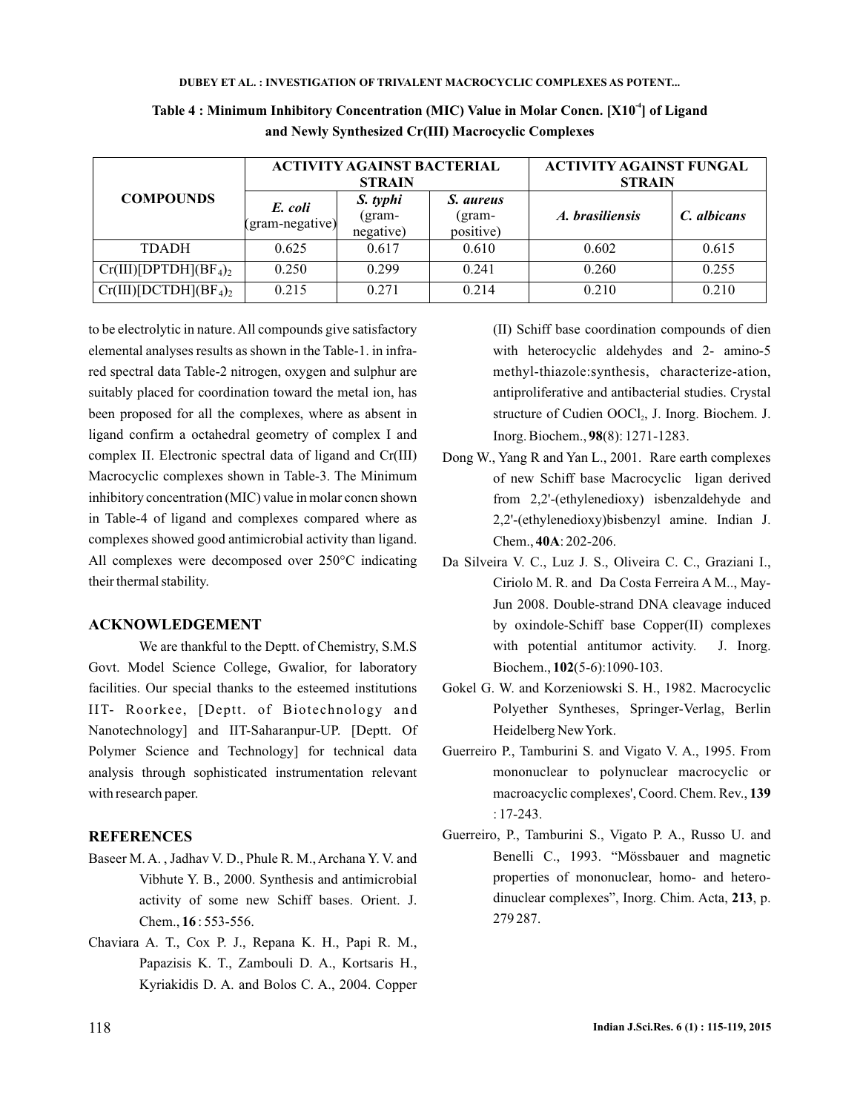|                          |                            | <b>ACTIVITY AGAINST BACTERIAL</b><br><b>STRAIN</b> |                                  | <b>ACTIVITY AGAINST FUNGAL</b><br><b>STRAIN</b> |             |  |
|--------------------------|----------------------------|----------------------------------------------------|----------------------------------|-------------------------------------------------|-------------|--|
| <b>COMPOUNDS</b>         | E. coli<br>(gram-negative) | S. typhi<br>$\rm (gram-$<br>negative)              | S. aureus<br>(gram-<br>positive) | A. brasiliensis                                 | C. albicans |  |
| <b>TDADH</b>             | 0.625                      | 0.617                                              | 0.610                            | 0.602                                           | 0.615       |  |
| $Cr(III)[DPTDH](BF_4)_2$ | 0.250                      | 0.299                                              | 0.241                            | 0.260                                           | 0.255       |  |
| $Cr(III)[DCTDH](BF4)2$   | 0.215                      | 0.271                                              | 0.214                            | 0.210                                           | 0.210       |  |

Table 4 : Minimum Inhibitory Concentration (MIC) Value in Molar Concn. [X10<sup>4</sup>] of Ligand **and Newly Synthesized Cr(III) Macrocyclic Complexes**

to be electrolytic in nature. All compounds give satisfactory elemental analyses results as shown in the Table-1. in infrared spectral data Table-2 nitrogen, oxygen and sulphur are suitably placed for coordination toward the metal ion, has been proposed for all the complexes, where as absent in ligand confirm a octahedral geometry of complex I and complex II. Electronic spectral data of ligand and Cr(III) Macrocyclic complexes shown in Table-3. The Minimum inhibitory concentration (MIC) value in molar concn shown in Table-4 of ligand and complexes compared where as complexes showed good antimicrobial activity than ligand. All complexes were decomposed over 250°C indicating their thermal stability.

## **ACKNOWLEDGEMENT**

We are thankful to the Deptt. of Chemistry, S.M.S Govt. Model Science College, Gwalior, for laboratory facilities. Our special thanks to the esteemed institutions IIT- Roorkee, [Deptt. of Biotechnology and Nanotechnology] and IIT-Saharanpur-UP. [Deptt. Of Polymer Science and Technology] for technical data analysis through sophisticated instrumentation relevant with research paper.

### **REFERENCES**

- Baseer M. A. , Jadhav V. D., Phule R. M., Archana Y. V. and Vibhute Y. B., 2000. Synthesis and antimicrobial activity of some new Schiff bases. Orient. J. Chem., 16: 553-556.
- Chaviara A. T., Cox P. J., Repana K. H., Papi R. M., Papazisis K. T., Zambouli D. A., Kortsaris H., Kyriakidis D. A. and Bolos C. A., 2004. Copper

(II) Schiff base coordination compounds of dien with heterocyclic aldehydes and 2- amino-5 methyl-thiazole:synthesis, characterize-ation, antiproliferative and antibacterial studies. Crystal structure of Cudien OOCl<sub>2</sub>, J. Inorg. Biochem. J. Inorg. Biochem., 98(8): 1271-1283.

- Dong W., Yang R and Yan L., 2001. Rare earth complexes of new Schiff base Macrocyclic ligan derived from 2,2'-(ethylenedioxy) isbenzaldehyde and 2,2'-(ethylenedioxy)bisbenzyl amine. Indian J. Chem., 40A: 202-206.
- Da Silveira V. C., Luz J. S., Oliveira C. C., Graziani I., Ciriolo M. R. and Da Costa Ferreira A M.., May-Jun 2008. Double-strand DNA cleavage induced by oxindole-Schiff base Copper(II) complexes with potential antitumor activity. J. Inorg. Biochem., 102(5-6):1090-103.
- Gokel G. W. and Korzeniowski S. H., 1982. Macrocyclic Polyether Syntheses, Springer-Verlag, Berlin Heidelberg NewYork.
- Guerreiro P., Tamburini S. and Vigato V. A., 1995. From mononuclear to polynuclear macrocyclic or macroacyclic complexes', Coord. Chem. Rev., **139** : 17-243.
- Guerreiro, P., Tamburini S., Vigato P. A., Russo U. and Benelli C., 1993. "Mössbauer and magnetic properties of mononuclear, homo- and heterodinuclear complexes", Inorg. Chim. Acta, 213, p. 279 287.